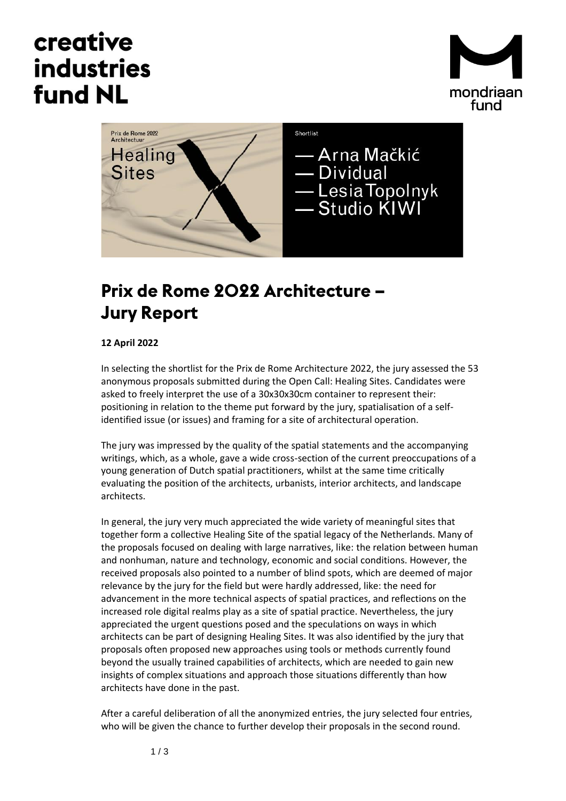## creative **industries fund NL**





## **Prix de Rome 2022 Architecture – Jury Report**

## **12 April 2022**

In selecting the shortlist for the Prix de Rome Architecture 2022, the jury assessed the 53 anonymous proposals submitted during the Open Call: Healing Sites. Candidates were asked to freely interpret the use of a 30x30x30cm container to represent their: positioning in relation to the theme put forward by the jury, spatialisation of a selfidentified issue (or issues) and framing for a site of architectural operation.

The jury was impressed by the quality of the spatial statements and the accompanying writings, which, as a whole, gave a wide cross-section of the current preoccupations of a young generation of Dutch spatial practitioners, whilst at the same time critically evaluating the position of the architects, urbanists, interior architects, and landscape architects.

In general, the jury very much appreciated the wide variety of meaningful sites that together form a collective Healing Site of the spatial legacy of the Netherlands. Many of the proposals focused on dealing with large narratives, like: the relation between human and nonhuman, nature and technology, economic and social conditions. However, the received proposals also pointed to a number of blind spots, which are deemed of major relevance by the jury for the field but were hardly addressed, like: the need for advancement in the more technical aspects of spatial practices, and reflections on the increased role digital realms play as a site of spatial practice. Nevertheless, the jury appreciated the urgent questions posed and the speculations on ways in which architects can be part of designing Healing Sites. It was also identified by the jury that proposals often proposed new approaches using tools or methods currently found beyond the usually trained capabilities of architects, which are needed to gain new insights of complex situations and approach those situations differently than how architects have done in the past.

After a careful deliberation of all the anonymized entries, the jury selected four entries, who will be given the chance to further develop their proposals in the second round.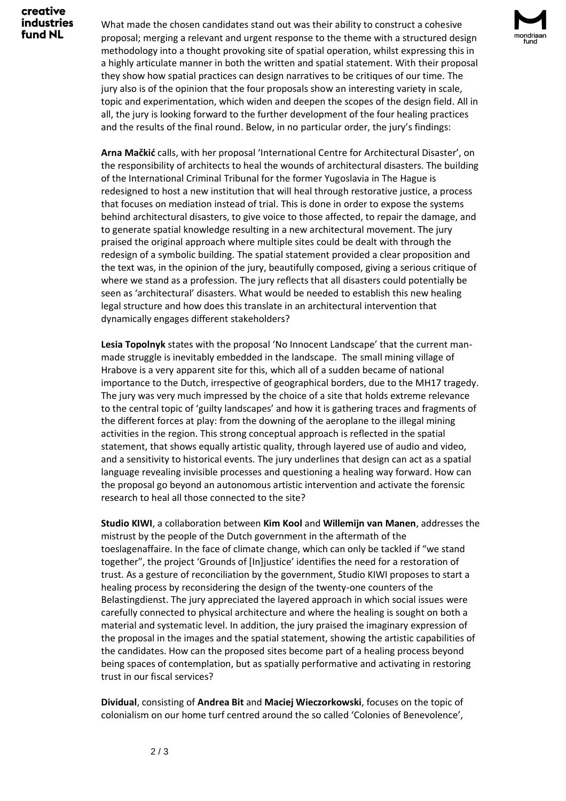creative **industries** fund NL

What made the chosen candidates stand out was their ability to construct a cohesive proposal; merging a relevant and urgent response to the theme with a structured design methodology into a thought provoking site of spatial operation, whilst expressing this in a highly articulate manner in both the written and spatial statement. With their proposal they show how spatial practices can design narratives to be critiques of our time. The jury also is of the opinion that the four proposals show an interesting variety in scale, topic and experimentation, which widen and deepen the scopes of the design field. All in all, the jury is looking forward to the further development of the four healing practices and the results of the final round. Below, in no particular order, the jury's findings:

**Arna Mačkić** calls, with her proposal 'International Centre for Architectural Disaster', on the responsibility of architects to heal the wounds of architectural disasters. The building of the International Criminal Tribunal for the former Yugoslavia in The Hague is redesigned to host a new institution that will heal through restorative justice, a process that focuses on mediation instead of trial. This is done in order to expose the systems behind architectural disasters, to give voice to those affected, to repair the damage, and to generate spatial knowledge resulting in a new architectural movement. The jury praised the original approach where multiple sites could be dealt with through the redesign of a symbolic building. The spatial statement provided a clear proposition and the text was, in the opinion of the jury, beautifully composed, giving a serious critique of where we stand as a profession. The jury reflects that all disasters could potentially be seen as 'architectural' disasters. What would be needed to establish this new healing legal structure and how does this translate in an architectural intervention that dynamically engages different stakeholders?

**Lesia Topolnyk** states with the proposal 'No Innocent Landscape' that the current manmade struggle is inevitably embedded in the landscape. The small mining village of Hrabove is a very apparent site for this, which all of a sudden became of national importance to the Dutch, irrespective of geographical borders, due to the MH17 tragedy. The jury was very much impressed by the choice of a site that holds extreme relevance to the central topic of 'guilty landscapes' and how it is gathering traces and fragments of the different forces at play: from the downing of the aeroplane to the illegal mining activities in the region. This strong conceptual approach is reflected in the spatial statement, that shows equally artistic quality, through layered use of audio and video, and a sensitivity to historical events. The jury underlines that design can act as a spatial language revealing invisible processes and questioning a healing way forward. How can the proposal go beyond an autonomous artistic intervention and activate the forensic research to heal all those connected to the site?

**Studio KIWI**, a collaboration between **Kim Kool** and **Willemijn van Manen**, addresses the mistrust by the people of the Dutch government in the aftermath of the toeslagenaffaire. In the face of climate change, which can only be tackled if "we stand together", the project 'Grounds of [In]justice' identifies the need for a restoration of trust. As a gesture of reconciliation by the government, Studio KIWI proposes to start a healing process by reconsidering the design of the twenty-one counters of the Belastingdienst. The jury appreciated the layered approach in which social issues were carefully connected to physical architecture and where the healing is sought on both a material and systematic level. In addition, the jury praised the imaginary expression of the proposal in the images and the spatial statement, showing the artistic capabilities of the candidates. How can the proposed sites become part of a healing process beyond being spaces of contemplation, but as spatially performative and activating in restoring trust in our fiscal services?

**Dividual**, consisting of **Andrea Bit** and **Maciej Wieczorkowski**, focuses on the topic of colonialism on our home turf centred around the so called 'Colonies of Benevolence',